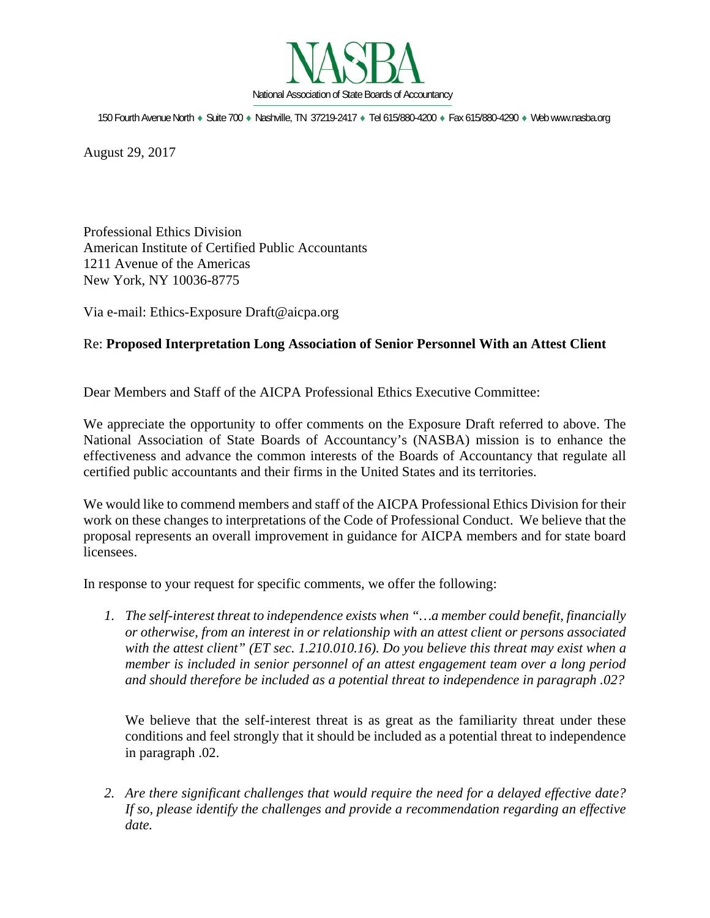

150 Fourth Avenue North · Suite 700 · Nashville, TN 37219-2417 · Tel 615/880-4200 · Fax 615/880-4290 · Web www.nasba.org

August 29, 2017

Professional Ethics Division American Institute of Certified Public Accountants 1211 Avenue of the Americas New York, NY 10036-8775

Via e-mail: Ethics-Exposure Draft@aicpa.org

## Re: **Proposed Interpretation Long Association of Senior Personnel With an Attest Client**

Dear Members and Staff of the AICPA Professional Ethics Executive Committee:

We appreciate the opportunity to offer comments on the Exposure Draft referred to above. The National Association of State Boards of Accountancy's (NASBA) mission is to enhance the effectiveness and advance the common interests of the Boards of Accountancy that regulate all certified public accountants and their firms in the United States and its territories.

We would like to commend members and staff of the AICPA Professional Ethics Division for their work on these changes to interpretations of the Code of Professional Conduct. We believe that the proposal represents an overall improvement in guidance for AICPA members and for state board licensees.

In response to your request for specific comments, we offer the following:

*1. The self-interest threat to independence exists when "…a member could benefit, financially or otherwise, from an interest in or relationship with an attest client or persons associated with the attest client" (ET sec. 1.210.010.16). Do you believe this threat may exist when a member is included in senior personnel of an attest engagement team over a long period and should therefore be included as a potential threat to independence in paragraph .02?* 

We believe that the self-interest threat is as great as the familiarity threat under these conditions and feel strongly that it should be included as a potential threat to independence in paragraph .02.

*2. Are there significant challenges that would require the need for a delayed effective date? If so, please identify the challenges and provide a recommendation regarding an effective date.*